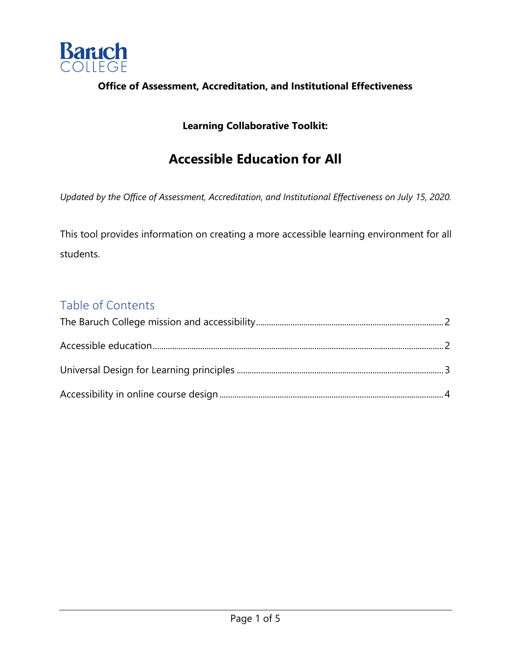

#### **Office of Assessment, Accreditation, and Institutional Effectiveness**

#### **Learning Collaborative Toolkit:**

# **Accessible Education for All**

*Updated by the Office of Assessment, Accreditation, and Institutional Effectiveness on July 15, 2020.* 

This tool provides information on creating a more accessible learning environment for all students.

## Table of Contents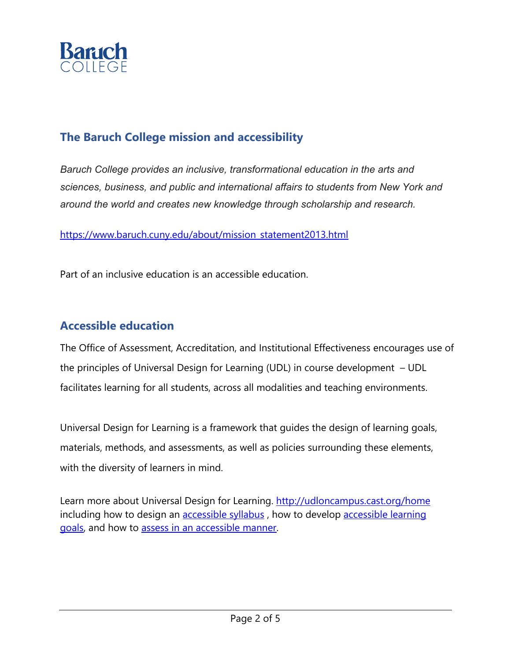

## **The Baruch College mission and accessibility**

*Baruch College provides an inclusive, transformational education in the arts and sciences, business, and public and international affairs to students from New York and around the world and creates new knowledge through scholarship and research.*

https://www.baruch.cuny.edu/about/mission\_statement2013.html

Part of an inclusive education is an accessible education.

### **Accessible education**

The Office of Assessment, Accreditation, and Institutional Effectiveness encourages use of the principles of Universal Design for Learning (UDL) in course development – UDL facilitates learning for all students, across all modalities and teaching environments.

Universal Design for Learning is a framework that guides the design of learning goals, materials, methods, and assessments, as well as policies surrounding these elements, with the diversity of learners in mind.

Learn more about Universal Design for Learning. http://udloncampus.cast.org/home including how to design an **accessible syllabus**, how to develop **accessible learning** goals, and how to assess in an accessible manner.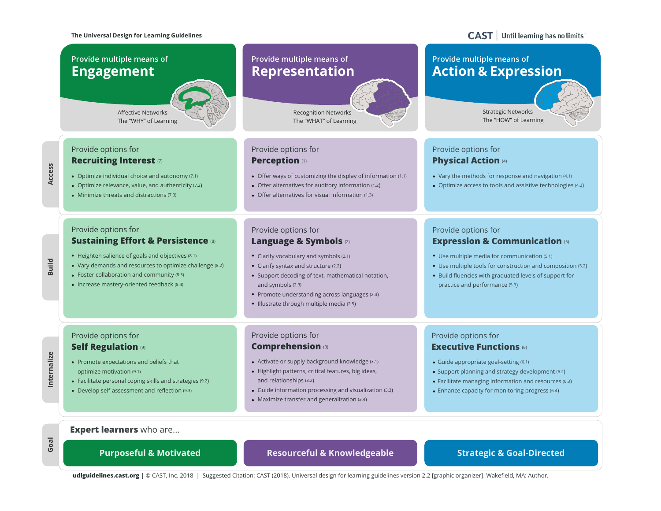#### **The Universal Design for Learning Guidelines**

#### Until learning has no limits **CAST**



**udlguidelines.cast.org** | © CAST, Inc. 2018 | Suggested Citation: CAST (2018). Universal design for learning guidelines version 2.2 [graphic organizer]. Wakefield, MA: Author.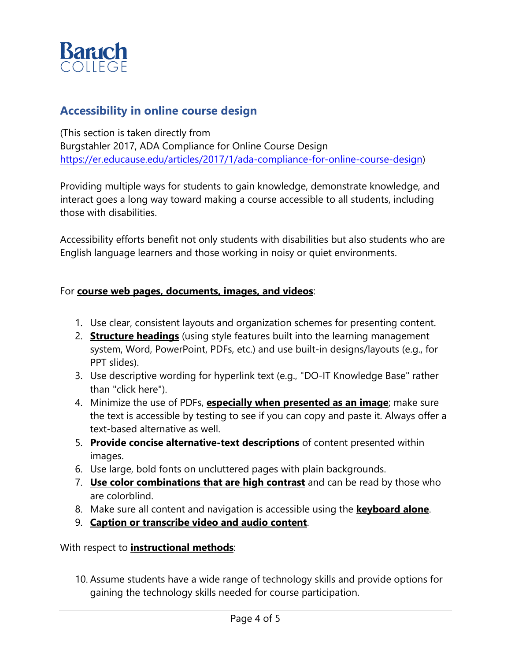

## **Accessibility in online course design**

(This section is taken directly from Burgstahler 2017, ADA Compliance for Online Course Design https://er.educause.edu/articles/2017/1/ada-compliance-for-online-course-design)

Providing multiple ways for students to gain knowledge, demonstrate knowledge, and interact goes a long way toward making a course accessible to all students, including those with disabilities.

Accessibility efforts benefit not only students with disabilities but also students who are English language learners and those working in noisy or quiet environments.

#### For **course web pages, documents, images, and videos**:

- 1. Use clear, consistent layouts and organization schemes for presenting content.
- 2. **Structure headings** (using style features built into the learning management system, Word, PowerPoint, PDFs, etc.) and use built-in designs/layouts (e.g., for PPT slides).
- 3. Use descriptive wording for hyperlink text (e.g., "DO-IT Knowledge Base" rather than "click here").
- 4. Minimize the use of PDFs, **especially when presented as an image**; make sure the text is accessible by testing to see if you can copy and paste it. Always offer a text-based alternative as well.
- 5. **Provide concise alternative-text descriptions** of content presented within images.
- 6. Use large, bold fonts on uncluttered pages with plain backgrounds.
- 7. **Use color combinations that are high contrast** and can be read by those who are colorblind.
- 8. Make sure all content and navigation is accessible using the **keyboard alone**.
- 9. **Caption or transcribe video and audio content**.

With respect to **instructional methods**:

10. Assume students have a wide range of technology skills and provide options for gaining the technology skills needed for course participation.